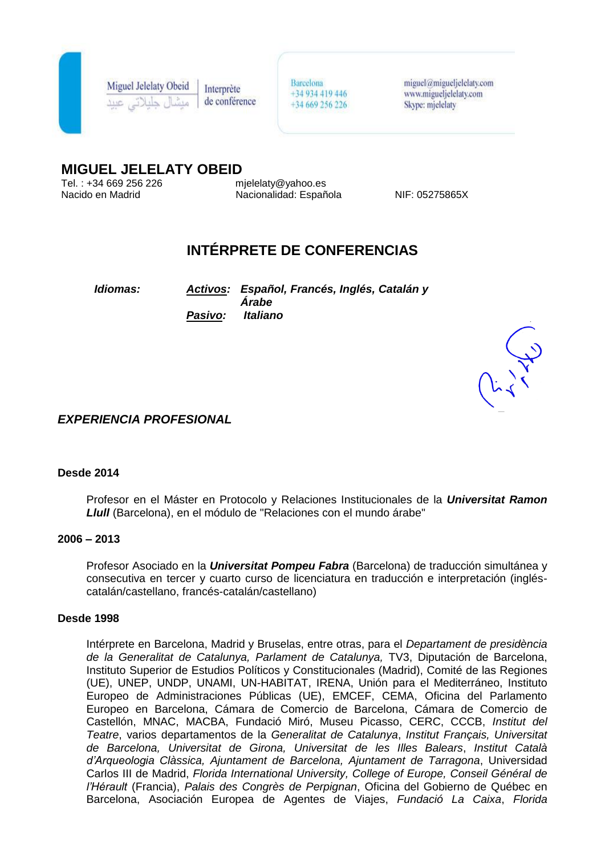

**Miguel Jelelaty Obeid** Interprète de conférence Barcelona +34 934 419 446 +34 669 256 226

 $miquel@miqueljelelatv.com$ www.migueljelelaty.com Skype: mjelelaty

# **MIGUEL JELELATY OBEID**<br>Tel.: +34 669 256 226 mielelaty@yahoo.es

Tel. : +34 669 256 226<br>Nacido en Madrid

Nacionalidad: Española NIF: 05275865X

# **INTÉRPRETE DE CONFERENCIAS**

*Idiomas: Activos: Español, Francés, Inglés, Catalán y Árabe Pasivo: Italiano* 



*EXPERIENCIA PROFESIONAL*

#### **Desde 2014**

Profesor en el Máster en Protocolo y Relaciones Institucionales de la *Universitat Ramon Llull* (Barcelona), en el módulo de "Relaciones con el mundo árabe"

#### **2006 – 2013**

Profesor Asociado en la *Universitat Pompeu Fabra* (Barcelona) de traducción simultánea y consecutiva en tercer y cuarto curso de licenciatura en traducción e interpretación (ingléscatalán/castellano, francés-catalán/castellano)

#### **Desde 1998**

Intérprete en Barcelona, Madrid y Bruselas, entre otras, para el *Departament de presidència de la Generalitat de Catalunya, Parlament de Catalunya,* TV3, Diputación de Barcelona, Instituto Superior de Estudios Políticos y Constitucionales (Madrid), Comité de las Regiones (UE), UNEP, UNDP, UNAMI, UN-HABITAT, IRENA, Unión para el Mediterráneo, Instituto Europeo de Administraciones Públicas (UE), EMCEF, CEMA, Oficina del Parlamento Europeo en Barcelona, Cámara de Comercio de Barcelona, Cámara de Comercio de Castellón, MNAC, MACBA, Fundació Miró, Museu Picasso, CERC, CCCB, *Institut del Teatre*, varios departamentos de la *Generalitat de Catalunya*, *Institut Français, Universitat de Barcelona, Universitat de Girona, Universitat de les Illes Balears*, *Institut Català d'Arqueologia Clàssica, Ajuntament de Barcelona, Ajuntament de Tarragona*, Universidad Carlos III de Madrid, *Florida International University, College of Europe, Conseil Général de l'Hérault* (Francia), *Palais des Congrès de Perpignan*, Oficina del Gobierno de Québec en Barcelona, Asociación Europea de Agentes de Viajes, *Fundació La Caixa*, *Florida*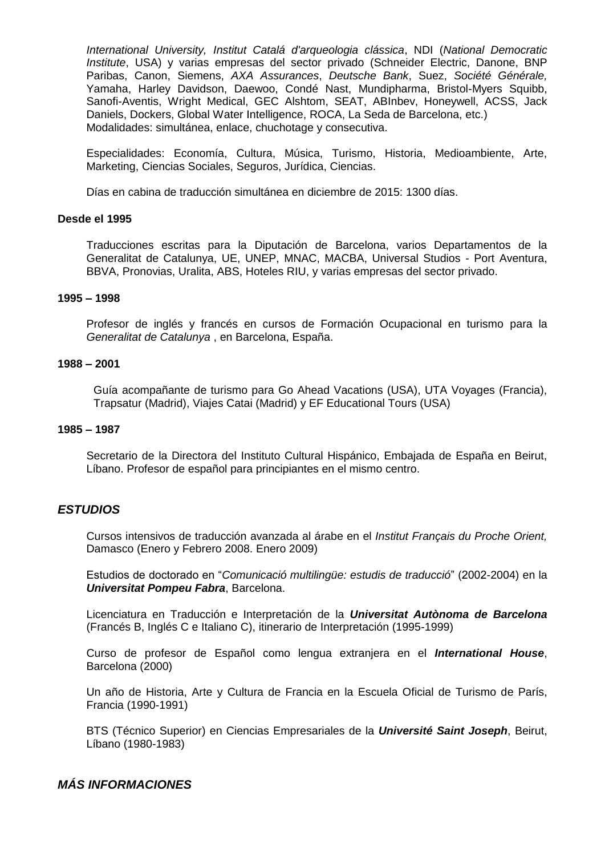*International University, Institut Catalá d'arqueologia clássica*, NDI (*National Democratic Institute*, USA) y varias empresas del sector privado (Schneider Electric, Danone, BNP Paribas, Canon, Siemens, *AXA Assurances*, *Deutsche Bank*, Suez, *Société Générale,*  Yamaha, Harley Davidson, Daewoo, Condé Nast, Mundipharma, Bristol-Myers Squibb, Sanofi-Aventis, Wright Medical, GEC Alshtom, SEAT, ABInbev, Honeywell, ACSS, Jack Daniels, Dockers, Global Water Intelligence, ROCA, La Seda de Barcelona, etc.) Modalidades: simultánea, enlace, chuchotage y consecutiva.

Especialidades: Economía, Cultura, Música, Turismo, Historia, Medioambiente, Arte, Marketing, Ciencias Sociales, Seguros, Jurídica, Ciencias.

Días en cabina de traducción simultánea en diciembre de 2015: 1300 días.

#### **Desde el 1995**

Traducciones escritas para la Diputación de Barcelona, varios Departamentos de la Generalitat de Catalunya, UE, UNEP, MNAC, MACBA, Universal Studios - Port Aventura, BBVA, Pronovias, Uralita, ABS, Hoteles RIU, y varias empresas del sector privado.

#### **1995 – 1998**

Profesor de inglés y francés en cursos de Formación Ocupacional en turismo para la *Generalitat de Catalunya* , en Barcelona, España.

#### **1988 – 2001**

Guía acompañante de turismo para Go Ahead Vacations (USA), UTA Voyages (Francia), Trapsatur (Madrid), Viajes Catai (Madrid) y EF Educational Tours (USA)

#### **1985 – 1987**

Secretario de la Directora del Instituto Cultural Hispánico, Embajada de España en Beirut, Líbano. Profesor de español para principiantes en el mismo centro.

#### *ESTUDIOS*

Cursos intensivos de traducción avanzada al árabe en el *Institut Français du Proche Orient,*  Damasco (Enero y Febrero 2008. Enero 2009)

Estudios de doctorado en "*Comunicació multilingüe: estudis de traducció*" (2002-2004) en la *Universitat Pompeu Fabra*, Barcelona.

Licenciatura en Traducción e Interpretación de la *Universitat Autònoma de Barcelona* (Francés B, Inglés C e Italiano C), itinerario de Interpretación (1995-1999)

Curso de profesor de Español como lengua extranjera en el *International House*, Barcelona (2000)

Un año de Historia, Arte y Cultura de Francia en la Escuela Oficial de Turismo de París, Francia (1990-1991)

BTS (Técnico Superior) en Ciencias Empresariales de la *Université Saint Joseph*, Beirut, Líbano (1980-1983)

## *MÁS INFORMACIONES*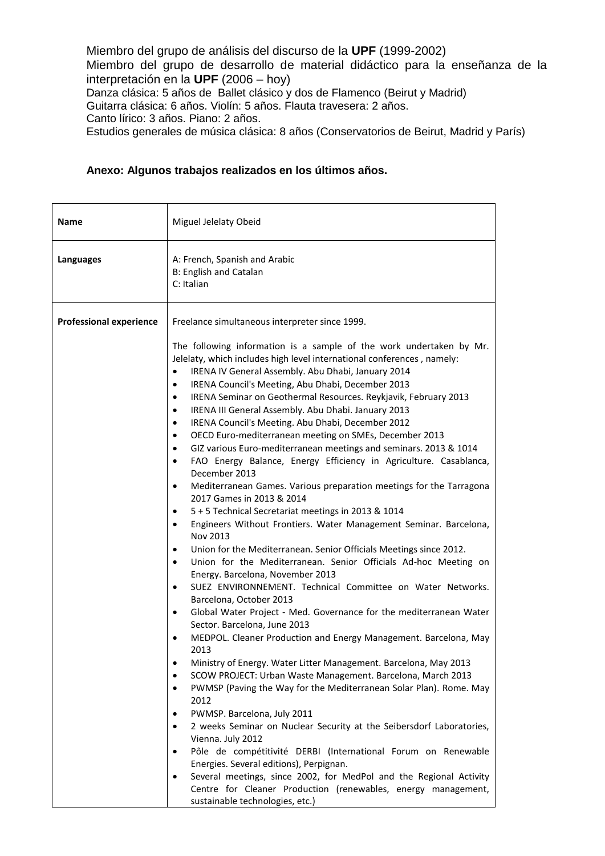Miembro del grupo de análisis del discurso de la **UPF** (1999-2002) Miembro del grupo de desarrollo de material didáctico para la enseñanza de la interpretación en la **UPF** (2006 – hoy) Danza clásica: 5 años de Ballet clásico y dos de Flamenco (Beirut y Madrid) Guitarra clásica: 6 años. Violín: 5 años. Flauta travesera: 2 años. Canto lírico: 3 años. Piano: 2 años.

Estudios generales de música clásica: 8 años (Conservatorios de Beirut, Madrid y París)

### **Anexo: Algunos trabajos realizados en los últimos años.**

| <b>Name</b>                    | Miguel Jelelaty Obeid                                                                                                                                                                                                                                                                                                                                                                                                                                                                                                                                                                                                                                                                                                                                                                                                                                                                                                                                                                                                                                                                                                                                                                                                                                                                                                                                                                                                                                                                                                                                                                                                                                                                                                                                                                                                                                                                                                                                                                                                                                                                                                                                                                             |
|--------------------------------|---------------------------------------------------------------------------------------------------------------------------------------------------------------------------------------------------------------------------------------------------------------------------------------------------------------------------------------------------------------------------------------------------------------------------------------------------------------------------------------------------------------------------------------------------------------------------------------------------------------------------------------------------------------------------------------------------------------------------------------------------------------------------------------------------------------------------------------------------------------------------------------------------------------------------------------------------------------------------------------------------------------------------------------------------------------------------------------------------------------------------------------------------------------------------------------------------------------------------------------------------------------------------------------------------------------------------------------------------------------------------------------------------------------------------------------------------------------------------------------------------------------------------------------------------------------------------------------------------------------------------------------------------------------------------------------------------------------------------------------------------------------------------------------------------------------------------------------------------------------------------------------------------------------------------------------------------------------------------------------------------------------------------------------------------------------------------------------------------------------------------------------------------------------------------------------------------|
| Languages                      | A: French, Spanish and Arabic<br><b>B: English and Catalan</b><br>C: Italian                                                                                                                                                                                                                                                                                                                                                                                                                                                                                                                                                                                                                                                                                                                                                                                                                                                                                                                                                                                                                                                                                                                                                                                                                                                                                                                                                                                                                                                                                                                                                                                                                                                                                                                                                                                                                                                                                                                                                                                                                                                                                                                      |
| <b>Professional experience</b> | Freelance simultaneous interpreter since 1999.                                                                                                                                                                                                                                                                                                                                                                                                                                                                                                                                                                                                                                                                                                                                                                                                                                                                                                                                                                                                                                                                                                                                                                                                                                                                                                                                                                                                                                                                                                                                                                                                                                                                                                                                                                                                                                                                                                                                                                                                                                                                                                                                                    |
|                                | The following information is a sample of the work undertaken by Mr.<br>Jelelaty, which includes high level international conferences, namely:<br>IRENA IV General Assembly. Abu Dhabi, January 2014<br>٠<br>IRENA Council's Meeting, Abu Dhabi, December 2013<br>٠<br>IRENA Seminar on Geothermal Resources. Reykjavik, February 2013<br>٠<br>IRENA III General Assembly. Abu Dhabi. January 2013<br>$\bullet$<br>IRENA Council's Meeting. Abu Dhabi, December 2012<br>$\bullet$<br>OECD Euro-mediterranean meeting on SMEs, December 2013<br>$\bullet$<br>GIZ various Euro-mediterranean meetings and seminars. 2013 & 1014<br>$\bullet$<br>FAO Energy Balance, Energy Efficiency in Agriculture. Casablanca,<br>$\bullet$<br>December 2013<br>Mediterranean Games. Various preparation meetings for the Tarragona<br>٠<br>2017 Games in 2013 & 2014<br>5 + 5 Technical Secretariat meetings in 2013 & 1014<br>٠<br>Engineers Without Frontiers. Water Management Seminar. Barcelona,<br>٠<br>Nov 2013<br>Union for the Mediterranean. Senior Officials Meetings since 2012.<br>٠<br>Union for the Mediterranean. Senior Officials Ad-hoc Meeting on<br>٠<br>Energy. Barcelona, November 2013<br>SUEZ ENVIRONNEMENT. Technical Committee on Water Networks.<br>٠<br>Barcelona, October 2013<br>Global Water Project - Med. Governance for the mediterranean Water<br>$\bullet$<br>Sector. Barcelona, June 2013<br>MEDPOL. Cleaner Production and Energy Management. Barcelona, May<br>$\bullet$<br>2013<br>Ministry of Energy. Water Litter Management. Barcelona, May 2013<br>$\bullet$<br>SCOW PROJECT: Urban Waste Management. Barcelona, March 2013<br>PWMSP (Paving the Way for the Mediterranean Solar Plan). Rome. May<br>$\bullet$<br>2012<br>PWMSP. Barcelona, July 2011<br>٠<br>2 weeks Seminar on Nuclear Security at the Seibersdorf Laboratories,<br>٠<br>Vienna. July 2012<br>Pôle de compétitivité DERBI (International Forum on Renewable<br>$\bullet$<br>Energies. Several editions), Perpignan.<br>Several meetings, since 2002, for MedPol and the Regional Activity<br>٠<br>Centre for Cleaner Production (renewables, energy management,<br>sustainable technologies, etc.) |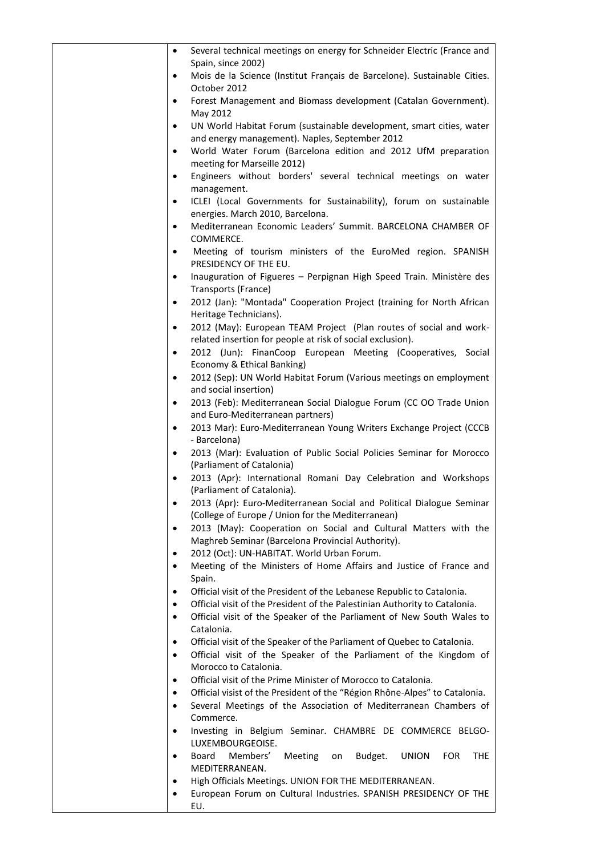| Several technical meetings on energy for Schneider Electric (France and                                                                                        |
|----------------------------------------------------------------------------------------------------------------------------------------------------------------|
| Spain, since 2002)                                                                                                                                             |
| Mois de la Science (Institut Français de Barcelone). Sustainable Cities.<br>$\bullet$                                                                          |
| October 2012                                                                                                                                                   |
| Forest Management and Biomass development (Catalan Government).<br>$\bullet$                                                                                   |
| May 2012                                                                                                                                                       |
| UN World Habitat Forum (sustainable development, smart cities, water<br>$\bullet$                                                                              |
| and energy management). Naples, September 2012                                                                                                                 |
| World Water Forum (Barcelona edition and 2012 UfM preparation<br>$\bullet$<br>meeting for Marseille 2012)                                                      |
| Engineers without borders' several technical meetings on water<br>$\bullet$                                                                                    |
| management.                                                                                                                                                    |
| ICLEI (Local Governments for Sustainability), forum on sustainable<br>$\bullet$                                                                                |
| energies. March 2010, Barcelona.                                                                                                                               |
| Mediterranean Economic Leaders' Summit. BARCELONA CHAMBER OF<br>$\bullet$                                                                                      |
| COMMERCE.                                                                                                                                                      |
| Meeting of tourism ministers of the EuroMed region. SPANISH<br>$\bullet$                                                                                       |
| PRESIDENCY OF THE EU.                                                                                                                                          |
| Inauguration of Figueres - Perpignan High Speed Train. Ministère des<br>$\bullet$                                                                              |
| Transports (France)                                                                                                                                            |
| 2012 (Jan): "Montada" Cooperation Project (training for North African<br>$\bullet$                                                                             |
| Heritage Technicians).                                                                                                                                         |
| 2012 (May): European TEAM Project (Plan routes of social and work-<br>$\bullet$                                                                                |
| related insertion for people at risk of social exclusion).                                                                                                     |
| 2012 (Jun): FinanCoop European Meeting (Cooperatives, Social<br>$\bullet$<br>Economy & Ethical Banking)                                                        |
| 2012 (Sep): UN World Habitat Forum (Various meetings on employment<br>$\bullet$                                                                                |
| and social insertion)                                                                                                                                          |
| 2013 (Feb): Mediterranean Social Dialogue Forum (CC OO Trade Union<br>$\bullet$                                                                                |
| and Euro-Mediterranean partners)                                                                                                                               |
| 2013 Mar): Euro-Mediterranean Young Writers Exchange Project (CCCB<br>$\bullet$                                                                                |
| - Barcelona)                                                                                                                                                   |
| 2013 (Mar): Evaluation of Public Social Policies Seminar for Morocco<br>$\bullet$                                                                              |
| (Parliament of Catalonia)                                                                                                                                      |
| 2013 (Apr): International Romani Day Celebration and Workshops<br>$\bullet$                                                                                    |
| (Parliament of Catalonia).<br>2013 (Apr): Euro-Mediterranean Social and Political Dialogue Seminar<br>$\bullet$                                                |
| (College of Europe / Union for the Mediterranean)                                                                                                              |
| 2013 (May): Cooperation on Social and Cultural Matters with the<br>$\bullet$                                                                                   |
| Maghreb Seminar (Barcelona Provincial Authority).                                                                                                              |
| 2012 (Oct): UN-HABITAT. World Urban Forum.<br>$\bullet$                                                                                                        |
| Meeting of the Ministers of Home Affairs and Justice of France and<br>$\bullet$                                                                                |
| Spain.                                                                                                                                                         |
| Official visit of the President of the Lebanese Republic to Catalonia.<br>$\bullet$                                                                            |
| Official visit of the President of the Palestinian Authority to Catalonia.<br>$\bullet$                                                                        |
| Official visit of the Speaker of the Parliament of New South Wales to<br>$\bullet$                                                                             |
| Catalonia.                                                                                                                                                     |
| Official visit of the Speaker of the Parliament of Quebec to Catalonia.<br>$\bullet$<br>Official visit of the Speaker of the Parliament of the Kingdom of<br>٠ |
| Morocco to Catalonia.                                                                                                                                          |
| Official visit of the Prime Minister of Morocco to Catalonia.<br>$\bullet$                                                                                     |
| Official visist of the President of the "Région Rhône-Alpes" to Catalonia.                                                                                     |
| Several Meetings of the Association of Mediterranean Chambers of<br>٠                                                                                          |
| Commerce.                                                                                                                                                      |
| Investing in Belgium Seminar. CHAMBRE DE COMMERCE BELGO-<br>$\bullet$                                                                                          |
| LUXEMBOURGEOISE.                                                                                                                                               |
| Board<br>Members'<br>Meeting<br>Budget.<br><b>UNION</b><br><b>FOR</b><br><b>THE</b><br>on<br>$\bullet$                                                         |
| MEDITERRANEAN.                                                                                                                                                 |
| High Officials Meetings. UNION FOR THE MEDITERRANEAN.<br>$\bullet$<br>European Forum on Cultural Industries. SPANISH PRESIDENCY OF THE<br>٠                    |
| EU.                                                                                                                                                            |
|                                                                                                                                                                |